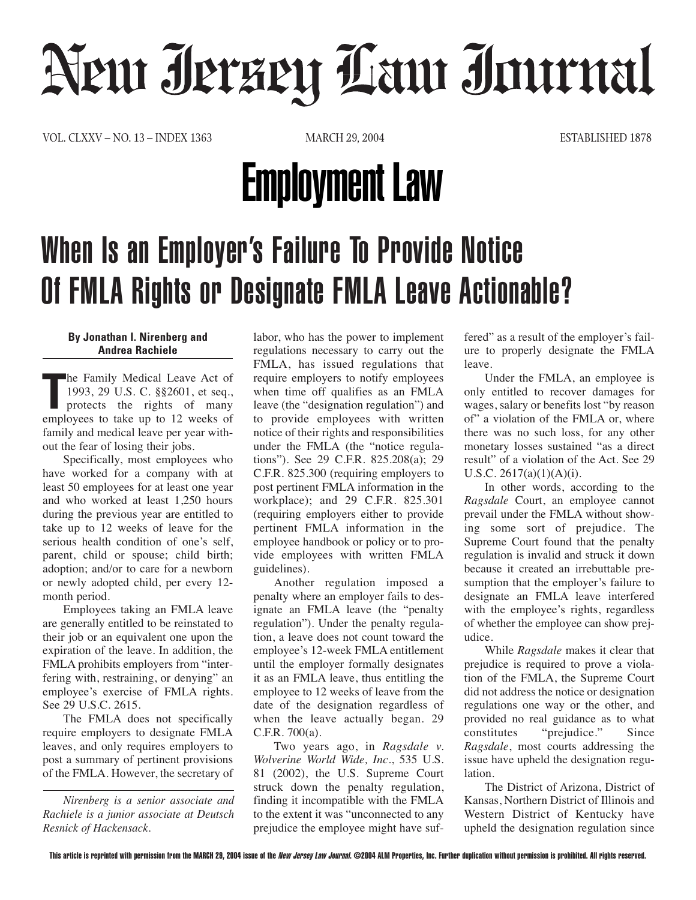# Neur Jerzey Law Journal

VOL. CLXXV – NO. 13 – INDEX 1363 MARCH 29, 2004 ESTABLISHED 1878

## Employment Law

### When Is an Employer's Failure To Provide Notice Of FMLA Rights or Designate FMLA Leave Actionable?

#### **By Jonathan I. Nirenberg and Andrea Rachiele**

The Family Medical Leave Act of 1993, 29 U.S. C. §§2601, et seq., protects the rights of many employees to take up to 12 weeks of he Family Medical Leave Act of 1993, 29 U.S. C. §§2601, et seq., protects the rights of many family and medical leave per year without the fear of losing their jobs.

Specifically, most employees who have worked for a company with at least 50 employees for at least one year and who worked at least 1,250 hours during the previous year are entitled to take up to 12 weeks of leave for the serious health condition of one's self, parent, child or spouse; child birth; adoption; and/or to care for a newborn or newly adopted child, per every 12 month period.

Employees taking an FMLA leave are generally entitled to be reinstated to their job or an equivalent one upon the expiration of the leave. In addition, the FMLA prohibits employers from "interfering with, restraining, or denying" an employee's exercise of FMLA rights. See 29 U.S.C. 2615.

The FMLA does not specifically require employers to designate FMLA leaves, and only requires employers to post a summary of pertinent provisions of the FMLA. However, the secretary of

*Nirenberg is a senior associate and Rachiele is a junior associate at Deutsch Resnick of Hackensack.*

labor, who has the power to implement regulations necessary to carry out the FMLA, has issued regulations that require employers to notify employees when time off qualifies as an FMLA leave (the "designation regulation") and to provide employees with written notice of their rights and responsibilities under the FMLA (the "notice regulations"). See 29 C.F.R. 825.208(a); 29 C.F.R. 825.300 (requiring employers to post pertinent FMLA information in the workplace); and 29 C.F.R. 825.301 (requiring employers either to provide pertinent FMLA information in the employee handbook or policy or to provide employees with written FMLA guidelines).

Another regulation imposed a penalty where an employer fails to designate an FMLA leave (the "penalty regulation"). Under the penalty regulation, a leave does not count toward the employee's 12-week FMLA entitlement until the employer formally designates it as an FMLA leave, thus entitling the employee to 12 weeks of leave from the date of the designation regardless of when the leave actually began. 29 C.F.R. 700(a).

Two years ago, in *Ragsdale v. Wolverine World Wide, Inc.*, 535 U.S. 81 (2002), the U.S. Supreme Court struck down the penalty regulation, finding it incompatible with the FMLA to the extent it was "unconnected to any prejudice the employee might have suffered" as a result of the employer's failure to properly designate the FMLA leave.

Under the FMLA, an employee is only entitled to recover damages for wages, salary or benefits lost "by reason of" a violation of the FMLA or, where there was no such loss, for any other monetary losses sustained "as a direct result" of a violation of the Act. See 29 U.S.C. 2617(a)(1)(A)(i).

In other words, according to the *Ragsdale* Court, an employee cannot prevail under the FMLA without showing some sort of prejudice. The Supreme Court found that the penalty regulation is invalid and struck it down because it created an irrebuttable presumption that the employer's failure to designate an FMLA leave interfered with the employee's rights, regardless of whether the employee can show prejudice.

While *Ragsdale* makes it clear that prejudice is required to prove a violation of the FMLA, the Supreme Court did not address the notice or designation regulations one way or the other, and provided no real guidance as to what constitutes "prejudice." Since *Ragsdale*, most courts addressing the issue have upheld the designation regulation.

The District of Arizona, District of Kansas, Northern District of Illinois and Western District of Kentucky have upheld the designation regulation since